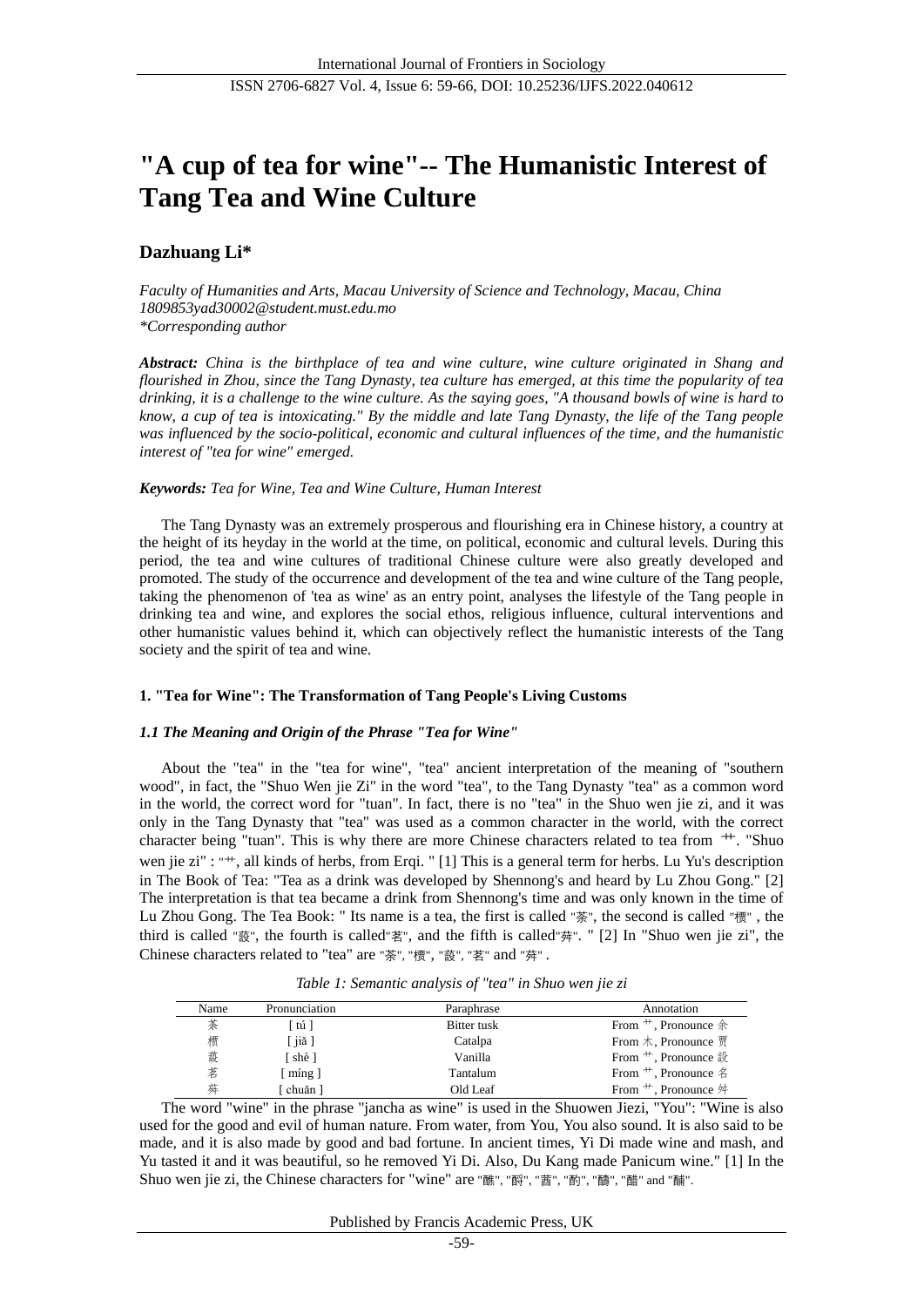# **"A cup of tea for wine"-- The Humanistic Interest of Tang Tea and Wine Culture**

# **Dazhuang Li\***

*Faculty of Humanities and Arts, Macau University of Science and Technology, Macau, China 1809853yad30002@student.must.edu.mo \*Corresponding author*

*Abstract: China is the birthplace of tea and wine culture, wine culture originated in Shang and flourished in Zhou, since the Tang Dynasty, tea culture has emerged, at this time the popularity of tea drinking, it is a challenge to the wine culture. As the saying goes, "A thousand bowls of wine is hard to know, a cup of tea is intoxicating." By the middle and late Tang Dynasty, the life of the Tang people was influenced by the socio-political, economic and cultural influences of the time, and the humanistic interest of "tea for wine" emerged.* 

## *Keywords: Tea for Wine, Tea and Wine Culture, Human Interest*

The Tang Dynasty was an extremely prosperous and flourishing era in Chinese history, a country at the height of its heyday in the world at the time, on political, economic and cultural levels. During this period, the tea and wine cultures of traditional Chinese culture were also greatly developed and promoted. The study of the occurrence and development of the tea and wine culture of the Tang people, taking the phenomenon of 'tea as wine' as an entry point, analyses the lifestyle of the Tang people in drinking tea and wine, and explores the social ethos, religious influence, cultural interventions and other humanistic values behind it, which can objectively reflect the humanistic interests of the Tang society and the spirit of tea and wine.

## **1. "Tea for Wine": The Transformation of Tang People's Living Customs**

## *1.1 The Meaning and Origin of the Phrase "Tea for Wine"*

About the "tea" in the "tea for wine", "tea" ancient interpretation of the meaning of "southern wood", in fact, the "Shuo Wen jie Zi" in the word "tea", to the Tang Dynasty "tea" as a common word in the world, the correct word for "tuan". In fact, there is no "tea" in the Shuo wen jie zi, and it was only in the Tang Dynasty that "tea" was used as a common character in the world, with the correct character being "tuan". This is why there are more Chinese characters related to tea from 艹. "Shuo wen jie zi" : "<sup>++</sup>, all kinds of herbs, from Erqi. " [1] This is a general term for herbs. Lu Yu's description in The Book of Tea: "Tea as a drink was developed by Shennong's and heard by Lu Zhou Gong." [2] The interpretation is that tea became a drink from Shennong's time and was only known in the time of Lu Zhou Gong. The Tea Book: " Its name is a tea, the first is called "荼", the second is called "槚" , the third is called "蔎", the fourth is called"茗", and the fifth is called"荈". " [2] In "Shuo wen jie zi", the Chinese characters related to "tea" are "荼", "槚", "蔎", "茗" and "荈" .

| Name | Pronunciation                      | Paraphrase  | Annotation                                       |
|------|------------------------------------|-------------|--------------------------------------------------|
| 茶    | [tú]                               | Bitter tusk | From $\#$ , Pronounce $\hat{\circ}$              |
| 槚    | iiă l                              | Catalpa     | From $\pi$ , Pronounce $\overline{\mathfrak{g}}$ |
| 蔎    | [shè]                              | Vanilla     | From $\#$ , Pronounce $\frac{3}{2}$              |
| 茗    | $\lceil \text{m} \text{ng} \rceil$ | Tantalum    | From $+$ , Pronounce $\&$                        |
| 蔴    | chuăn 1                            | Old Leaf    | From $\#$ , Pronounce $\#$                       |

*Table 1: Semantic analysis of "tea" in Shuo wen jie zi*

The word "wine" in the phrase "jancha as wine" is used in the Shuowen Jiezi, "You": "Wine is also used for the good and evil of human nature. From water, from You, You also sound. It is also said to be made, and it is also made by good and bad fortune. In ancient times, Yi Di made wine and mash, and Yu tasted it and it was beautiful, so he removed Yi Di. Also, Du Kang made Panicum wine." [1] In the Shuo wen jie zi, the Chinese characters for "wine" are "醮", "酹", "莤", "酌", "醻", "醋" and "酺".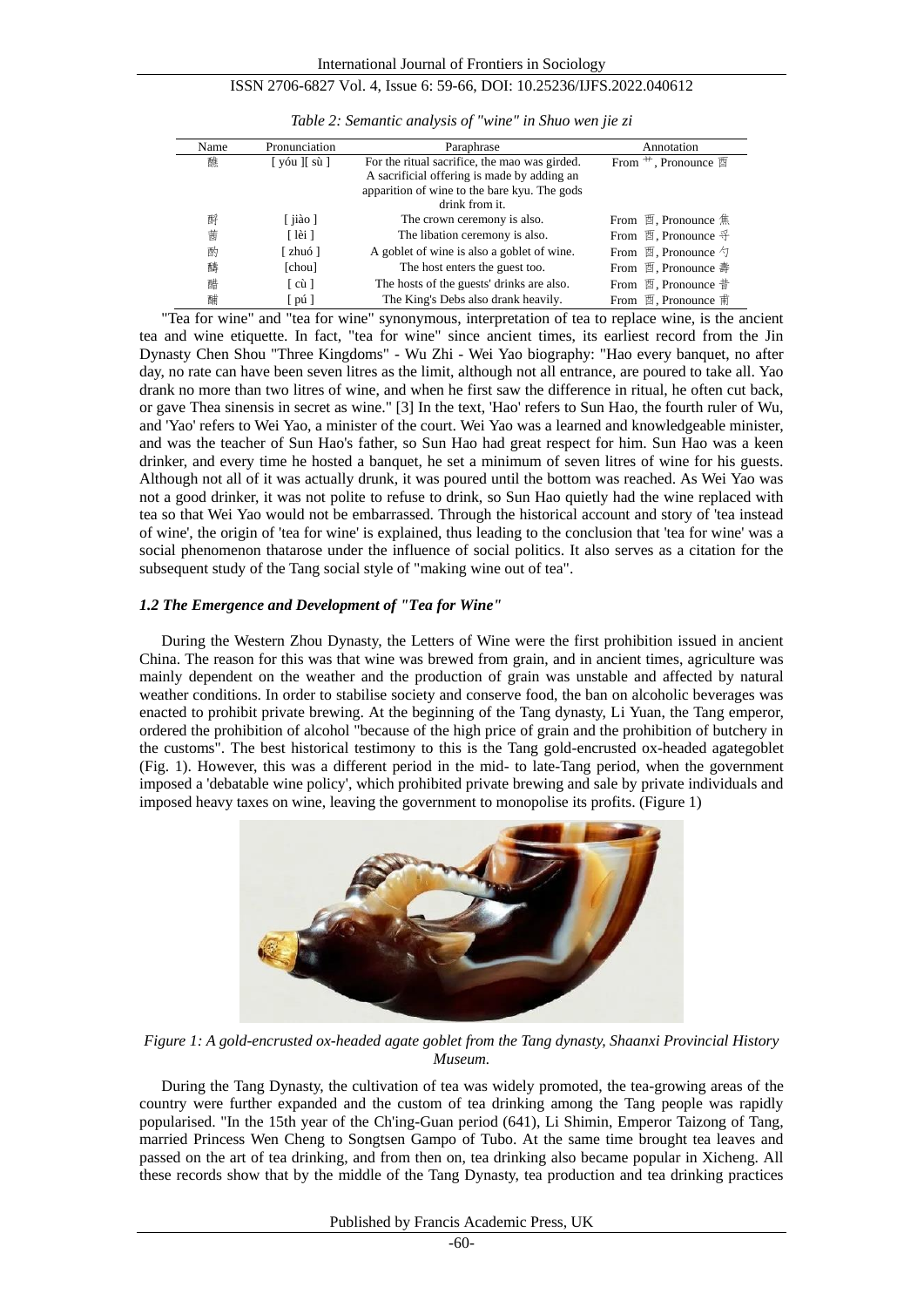| Name | Pronunciation                | Paraphrase                                                                                                                                                     | Annotation                              |
|------|------------------------------|----------------------------------------------------------------------------------------------------------------------------------------------------------------|-----------------------------------------|
| 醮    | [yóu ][sù]                   | For the ritual sacrifice, the mao was girded.<br>A sacrificial offering is made by adding an<br>apparition of wine to the bare kyu. The gods<br>drink from it. | From $\pm$ , Pronounce $\mathbb{E}$     |
| 酹    | $\lceil$ ji ào ]             | The crown ceremony is also.                                                                                                                                    | From 酉, Pronounce 焦                     |
| 茜    | [lài]                        | The libation ceremony is also.                                                                                                                                 | From 酉, Pronounce $\mathfrak{F}$        |
| 酌    | [zhuó]                       | A goblet of wine is also a goblet of wine.                                                                                                                     | From $\mathbb{H}$ , Pronounce $\forall$ |
| 醻    | [chou]                       | The host enters the guest too.                                                                                                                                 | From 酉, Pronounce 壽                     |
| 醋    | $\lceil c \mathbf{u} \rceil$ | The hosts of the guests' drinks are also.                                                                                                                      | From 酉, Pronounce 昔                     |
| 酺    | [pú]                         | The King's Debs also drank heavily.                                                                                                                            | From 酉, Pronounce 甫                     |

*Table 2: Semantic analysis of "wine" in Shuo wen jie zi* 

"Tea for wine" and "tea for wine" synonymous, interpretation of tea to replace wine, is the ancient tea and wine etiquette. In fact, "tea for wine" since ancient times, its earliest record from the Jin Dynasty Chen Shou "Three Kingdoms" - Wu Zhi - Wei Yao biography: "Hao every banquet, no after day, no rate can have been seven litres as the limit, although not all entrance, are poured to take all. Yao drank no more than two litres of wine, and when he first saw the difference in ritual, he often cut back, or gave Thea sinensis in secret as wine." [3] In the text, 'Hao' refers to Sun Hao, the fourth ruler of Wu, and 'Yao' refers to Wei Yao, a minister of the court. Wei Yao was a learned and knowledgeable minister, and was the teacher of Sun Hao's father, so Sun Hao had great respect for him. Sun Hao was a keen drinker, and every time he hosted a banquet, he set a minimum of seven litres of wine for his guests. Although not all of it was actually drunk, it was poured until the bottom was reached. As Wei Yao was not a good drinker, it was not polite to refuse to drink, so Sun Hao quietly had the wine replaced with tea so that Wei Yao would not be embarrassed. Through the historical account and story of 'tea instead of wine', the origin of 'tea for wine' is explained, thus leading to the conclusion that 'tea for wine' was a social phenomenon thatarose under the influence of social politics. It also serves as a citation for the subsequent study of the Tang social style of "making wine out of tea".

## *1.2 The Emergence and Development of "Tea for Wine"*

During the Western Zhou Dynasty, the Letters of Wine were the first prohibition issued in ancient China. The reason for this was that wine was brewed from grain, and in ancient times, agriculture was mainly dependent on the weather and the production of grain was unstable and affected by natural weather conditions. In order to stabilise society and conserve food, the ban on alcoholic beverages was enacted to prohibit private brewing. At the beginning of the Tang dynasty, Li Yuan, the Tang emperor, ordered the prohibition of alcohol "because of the high price of grain and the prohibition of butchery in the customs". The best historical testimony to this is the Tang gold-encrusted ox-headed agategoblet (Fig. 1). However, this was a different period in the mid- to late-Tang period, when the government imposed a 'debatable wine policy', which prohibited private brewing and sale by private individuals and imposed heavy taxes on wine, leaving the government to monopolise its profits. (Figure 1)



*Figure 1: A gold-encrusted ox-headed agate goblet from the Tang dynasty, Shaanxi Provincial History Museum.*

During the Tang Dynasty, the cultivation of tea was widely promoted, the tea-growing areas of the country were further expanded and the custom of tea drinking among the Tang people was rapidly popularised. "In the 15th year of the Ch'ing-Guan period (641), Li Shimin, Emperor Taizong of Tang, married Princess Wen Cheng to Songtsen Gampo of Tubo. At the same time brought tea leaves and passed on the art of tea drinking, and from then on, tea drinking also became popular in Xicheng. All these records show that by the middle of the Tang Dynasty, tea production and tea drinking practices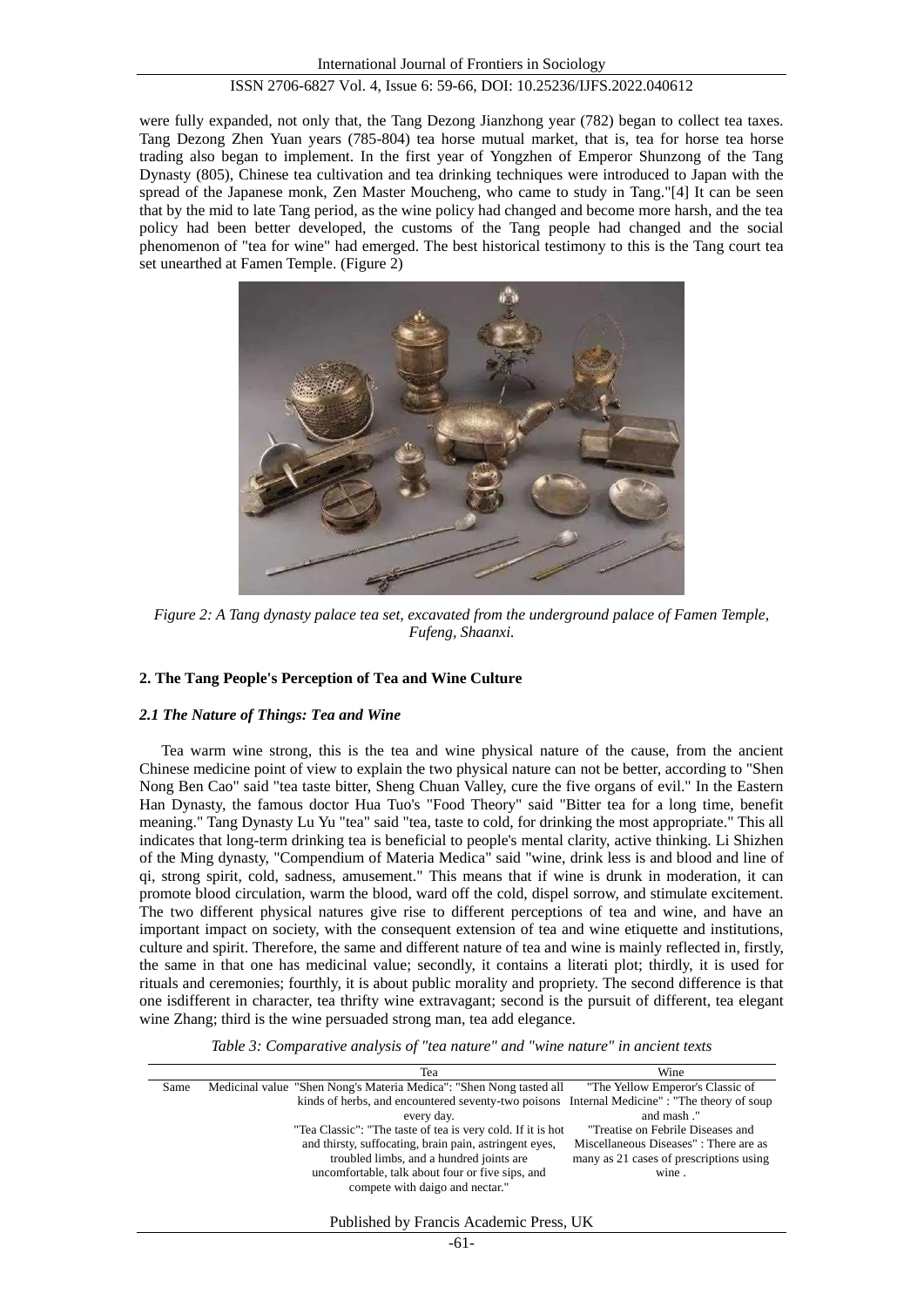were fully expanded, not only that, the Tang Dezong Jianzhong year (782) began to collect tea taxes. Tang Dezong Zhen Yuan years (785-804) tea horse mutual market, that is, tea for horse tea horse trading also began to implement. In the first year of Yongzhen of Emperor Shunzong of the Tang Dynasty (805), Chinese tea cultivation and tea drinking techniques were introduced to Japan with the spread of the Japanese monk, Zen Master Moucheng, who came to study in Tang."[4] It can be seen that by the mid to late Tang period, as the wine policy had changed and become more harsh, and the tea policy had been better developed, the customs of the Tang people had changed and the social phenomenon of "tea for wine" had emerged. The best historical testimony to this is the Tang court tea set unearthed at Famen Temple. (Figure 2)



*Figure 2: A Tang dynasty palace tea set, excavated from the underground palace of Famen Temple, Fufeng, Shaanxi.*

## **2. The Tang People's Perception of Tea and Wine Culture**

#### *2.1 The Nature of Things: Tea and Wine*

Tea warm wine strong, this is the tea and wine physical nature of the cause, from the ancient Chinese medicine point of view to explain the two physical nature can not be better, according to "Shen Nong Ben Cao" said "tea taste bitter, Sheng Chuan Valley, cure the five organs of evil." In the Eastern Han Dynasty, the famous doctor Hua Tuo's "Food Theory" said "Bitter tea for a long time, benefit meaning." Tang Dynasty Lu Yu "tea" said "tea, taste to cold, for drinking the most appropriate." This all indicates that long-term drinking tea is beneficial to people's mental clarity, active thinking. Li Shizhen of the Ming dynasty, "Compendium of Materia Medica" said "wine, drink less is and blood and line of qi, strong spirit, cold, sadness, amusement." This means that if wine is drunk in moderation, it can promote blood circulation, warm the blood, ward off the cold, dispel sorrow, and stimulate excitement. The two different physical natures give rise to different perceptions of tea and wine, and have an important impact on society, with the consequent extension of tea and wine etiquette and institutions, culture and spirit. Therefore, the same and different nature of tea and wine is mainly reflected in, firstly, the same in that one has medicinal value; secondly, it contains a literati plot; thirdly, it is used for rituals and ceremonies; fourthly, it is about public morality and propriety. The second difference is that one isdifferent in character, tea thrifty wine extravagant; second is the pursuit of different, tea elegant wine Zhang; third is the wine persuaded strong man, tea add elegance.

*Table 3: Comparative analysis of "tea nature" and "wine nature" in ancient texts*

|      | Tea                                                                 | Wine                                    |
|------|---------------------------------------------------------------------|-----------------------------------------|
| Same | Medicinal value "Shen Nong's Materia Medica": "Shen Nong tasted all | "The Yellow Emperor's Classic of        |
|      | kinds of herbs, and encountered seventy-two poisons                 | Internal Medicine": "The theory of soup |
|      | every day.                                                          | and mash."                              |
|      | "Tea Classic": "The taste of tea is very cold. If it is hot         | "Treatise on Febrile Diseases and       |
|      | and thirsty, suffocating, brain pain, astringent eyes,              | Miscellaneous Diseases": There are as   |
|      | troubled limbs, and a hundred joints are                            | many as 21 cases of prescriptions using |
|      | uncomfortable, talk about four or five sips, and                    | wine.                                   |
|      | compete with daigo and nectar."                                     |                                         |
|      |                                                                     |                                         |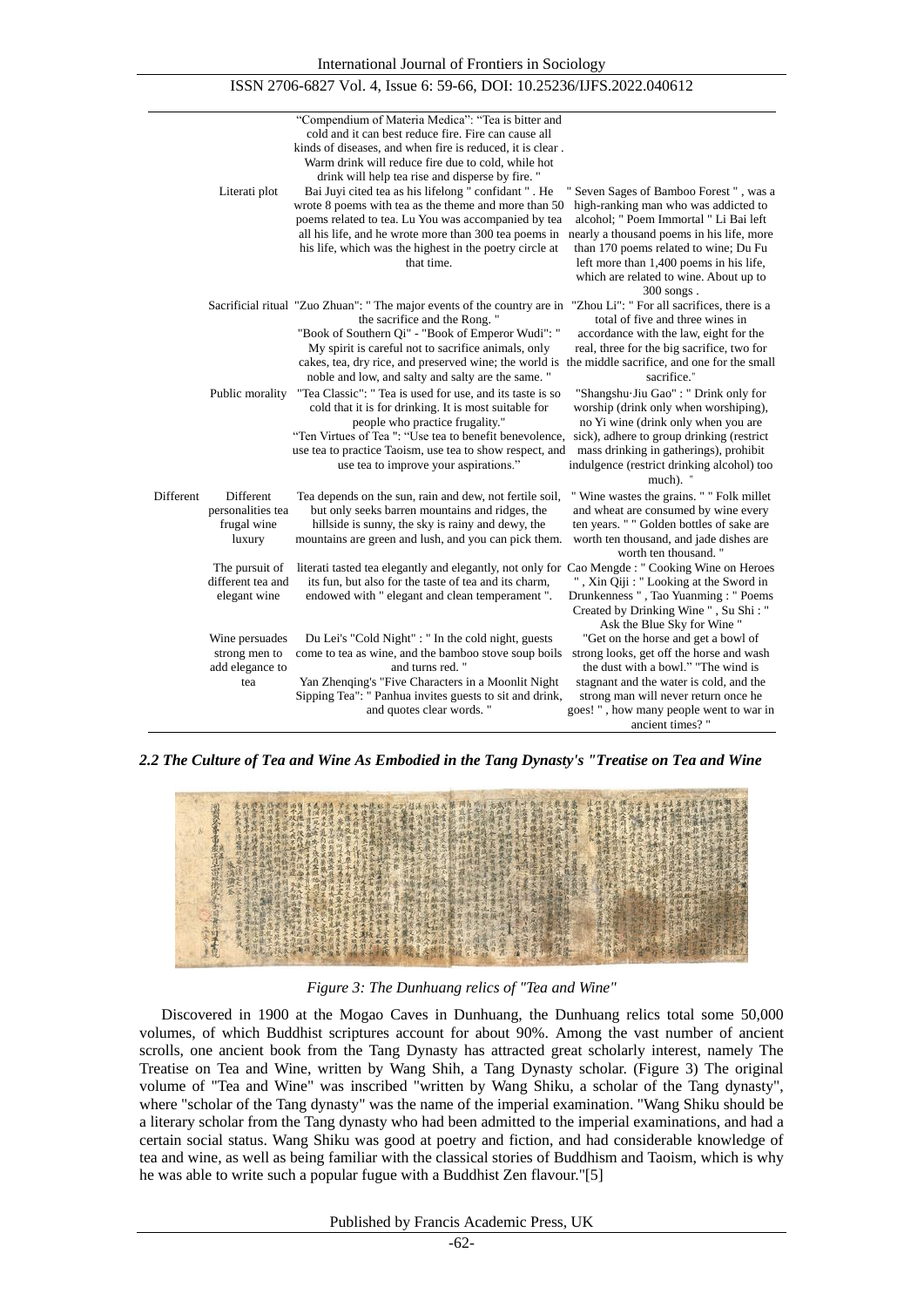|           | Literati plot                                             | "Compendium of Materia Medica": "Tea is bitter and<br>cold and it can best reduce fire. Fire can cause all<br>kinds of diseases, and when fire is reduced, it is clear.<br>Warm drink will reduce fire due to cold, while hot<br>drink will help tea rise and disperse by fire. "<br>Bai Juyi cited tea as his lifelong " confidant " . He<br>wrote 8 poems with tea as the theme and more than 50<br>poems related to tea. Lu You was accompanied by tea<br>all his life, and he wrote more than 300 tea poems in<br>his life, which was the highest in the poetry circle at<br>that time. | " Seven Sages of Bamboo Forest", was a<br>high-ranking man who was addicted to<br>alcohol; " Poem Immortal " Li Bai left<br>nearly a thousand poems in his life, more<br>than 170 poems related to wine; Du Fu<br>left more than 1,400 poems in his life,<br>which are related to wine. About up to<br>$300$ songs. |
|-----------|-----------------------------------------------------------|---------------------------------------------------------------------------------------------------------------------------------------------------------------------------------------------------------------------------------------------------------------------------------------------------------------------------------------------------------------------------------------------------------------------------------------------------------------------------------------------------------------------------------------------------------------------------------------------|---------------------------------------------------------------------------------------------------------------------------------------------------------------------------------------------------------------------------------------------------------------------------------------------------------------------|
|           |                                                           | Sacrificial ritual "Zuo Zhuan": " The major events of the country are in<br>the sacrifice and the Rong."<br>"Book of Southern Qi" - "Book of Emperor Wudi": "<br>My spirit is careful not to sacrifice animals, only<br>cakes, tea, dry rice, and preserved wine; the world is the middle sacrifice, and one for the small<br>noble and low, and salty and salty are the same."                                                                                                                                                                                                             | "Zhou Li": " For all sacrifices, there is a<br>total of five and three wines in<br>accordance with the law, eight for the<br>real, three for the big sacrifice, two for<br>sacrifice."                                                                                                                              |
|           | Public morality                                           | "Tea Classic": " Tea is used for use, and its taste is so<br>cold that it is for drinking. It is most suitable for<br>people who practice frugality."<br>"Ten Virtues of Tea": "Use tea to benefit benevolence,<br>use tea to practice Taoism, use tea to show respect, and<br>use tea to improve your aspirations."                                                                                                                                                                                                                                                                        | "Shangshu Jiu Gao": " Drink only for<br>worship (drink only when worshiping),<br>no Yi wine (drink only when you are<br>sick), adhere to group drinking (restrict<br>mass drinking in gatherings), prohibit<br>indulgence (restrict drinking alcohol) too<br>much). "                                               |
| Different | Different<br>personalities tea<br>frugal wine<br>luxury   | Tea depends on the sun, rain and dew, not fertile soil,<br>but only seeks barren mountains and ridges, the<br>hillside is sunny, the sky is rainy and dewy, the<br>mountains are green and lush, and you can pick them.                                                                                                                                                                                                                                                                                                                                                                     | " Wine wastes the grains. " " Folk millet<br>and wheat are consumed by wine every<br>ten years. " " Golden bottles of sake are<br>worth ten thousand, and jade dishes are<br>worth ten thousand."                                                                                                                   |
|           | The pursuit of<br>different tea and<br>elegant wine       | literati tasted tea elegantly and elegantly, not only for Cao Mengde : "Cooking Wine on Heroes<br>its fun, but also for the taste of tea and its charm,<br>endowed with " elegant and clean temperament ".                                                                                                                                                                                                                                                                                                                                                                                  | ", Xin Qiji: "Looking at the Sword in<br>Drunkenness ", Tao Yuanming: " Poems<br>Created by Drinking Wine ", Su Shi: "<br>Ask the Blue Sky for Wine"                                                                                                                                                                |
|           | Wine persuades<br>strong men to<br>add elegance to<br>tea | Du Lei's "Cold Night" : " In the cold night, guests<br>come to tea as wine, and the bamboo stove soup boils<br>and turns red."<br>Yan Zhenqing's "Five Characters in a Moonlit Night<br>Sipping Tea": " Panhua invites guests to sit and drink,<br>and quotes clear words."                                                                                                                                                                                                                                                                                                                 | "Get on the horse and get a bowl of<br>strong looks, get off the horse and wash<br>the dust with a bowl." "The wind is<br>stagnant and the water is cold, and the<br>strong man will never return once he<br>goes!", how many people went to war in<br>ancient times?"                                              |

ISSN 2706-6827 Vol. 4, Issue 6: 59-66, DOI: 10.25236/IJFS.2022.040612

*2.2 The Culture of Tea and Wine As Embodied in the Tang Dynasty's "Treatise on Tea and Wine*



*Figure 3: The Dunhuang relics of "Tea and Wine"*

Discovered in 1900 at the Mogao Caves in Dunhuang, the Dunhuang relics total some 50,000 volumes, of which Buddhist scriptures account for about 90%. Among the vast number of ancient scrolls, one ancient book from the Tang Dynasty has attracted great scholarly interest, namely The Treatise on Tea and Wine, written by Wang Shih, a Tang Dynasty scholar. (Figure 3) The original volume of "Tea and Wine" was inscribed "written by Wang Shiku, a scholar of the Tang dynasty", where "scholar of the Tang dynasty" was the name of the imperial examination. "Wang Shiku should be a literary scholar from the Tang dynasty who had been admitted to the imperial examinations, and had a certain social status. Wang Shiku was good at poetry and fiction, and had considerable knowledge of tea and wine, as well as being familiar with the classical stories of Buddhism and Taoism, which is why he was able to write such a popular fugue with a Buddhist Zen flavour."[5]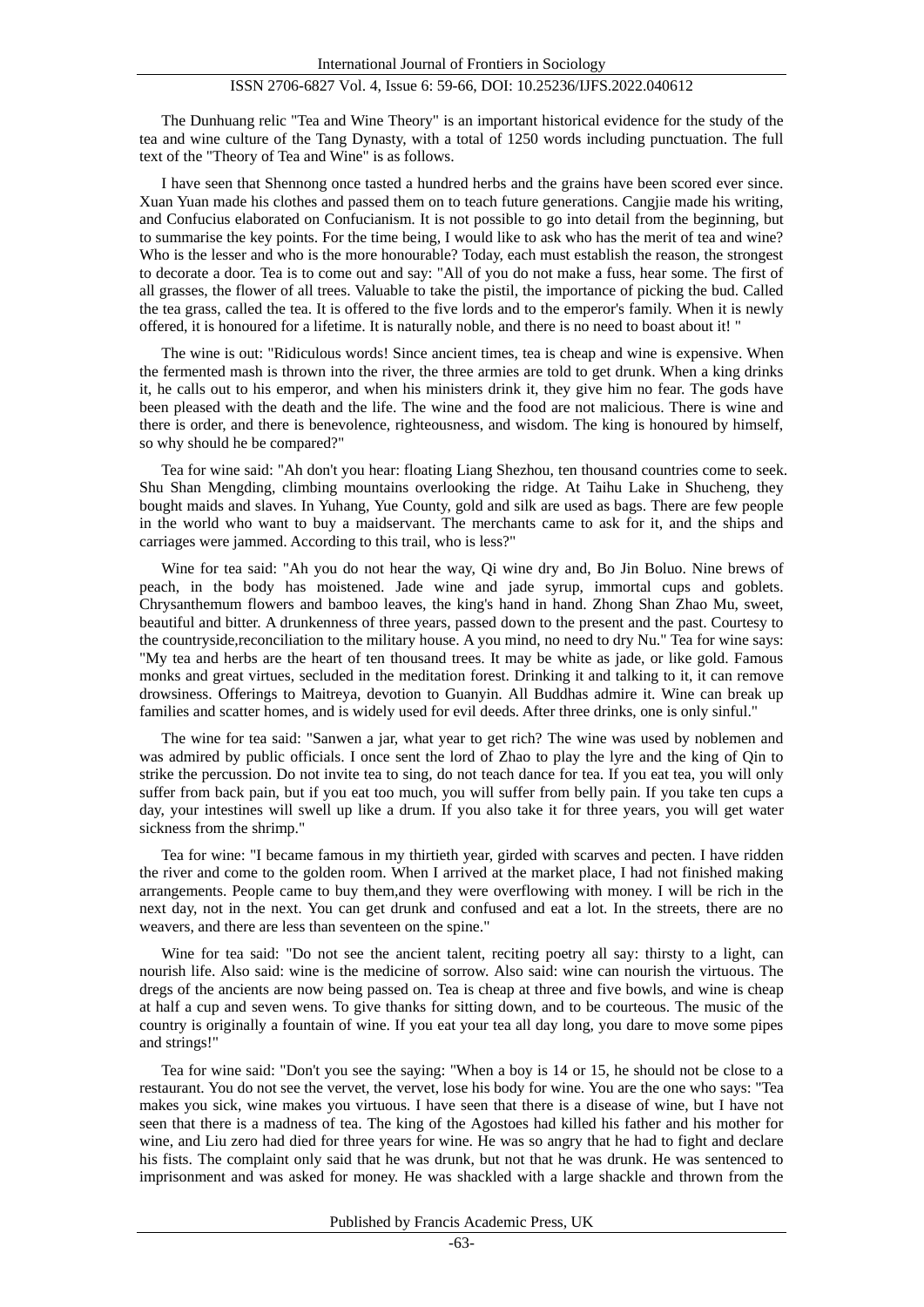The Dunhuang relic "Tea and Wine Theory" is an important historical evidence for the study of the tea and wine culture of the Tang Dynasty, with a total of 1250 words including punctuation. The full text of the "Theory of Tea and Wine" is as follows.

I have seen that Shennong once tasted a hundred herbs and the grains have been scored ever since. Xuan Yuan made his clothes and passed them on to teach future generations. Cangjie made his writing, and Confucius elaborated on Confucianism. It is not possible to go into detail from the beginning, but to summarise the key points. For the time being, I would like to ask who has the merit of tea and wine? Who is the lesser and who is the more honourable? Today, each must establish the reason, the strongest to decorate a door. Tea is to come out and say: "All of you do not make a fuss, hear some. The first of all grasses, the flower of all trees. Valuable to take the pistil, the importance of picking the bud. Called the tea grass, called the tea. It is offered to the five lords and to the emperor's family. When it is newly offered, it is honoured for a lifetime. It is naturally noble, and there is no need to boast about it! "

The wine is out: "Ridiculous words! Since ancient times, tea is cheap and wine is expensive. When the fermented mash is thrown into the river, the three armies are told to get drunk. When a king drinks it, he calls out to his emperor, and when his ministers drink it, they give him no fear. The gods have been pleased with the death and the life. The wine and the food are not malicious. There is wine and there is order, and there is benevolence, righteousness, and wisdom. The king is honoured by himself, so why should he be compared?"

Tea for wine said: "Ah don't you hear: floating Liang Shezhou, ten thousand countries come to seek. Shu Shan Mengding, climbing mountains overlooking the ridge. At Taihu Lake in Shucheng, they bought maids and slaves. In Yuhang, Yue County, gold and silk are used as bags. There are few people in the world who want to buy a maidservant. The merchants came to ask for it, and the ships and carriages were jammed. According to this trail, who is less?"

Wine for tea said: "Ah you do not hear the way, Qi wine dry and, Bo Jin Boluo. Nine brews of peach, in the body has moistened. Jade wine and jade syrup, immortal cups and goblets. Chrysanthemum flowers and bamboo leaves, the king's hand in hand. Zhong Shan Zhao Mu, sweet, beautiful and bitter. A drunkenness of three years, passed down to the present and the past. Courtesy to the countryside,reconciliation to the military house. A you mind, no need to dry Nu." Tea for wine says: "My tea and herbs are the heart of ten thousand trees. It may be white as jade, or like gold. Famous monks and great virtues, secluded in the meditation forest. Drinking it and talking to it, it can remove drowsiness. Offerings to Maitreya, devotion to Guanyin. All Buddhas admire it. Wine can break up families and scatter homes, and is widely used for evil deeds. After three drinks, one is only sinful."

The wine for tea said: "Sanwen a jar, what year to get rich? The wine was used by noblemen and was admired by public officials. I once sent the lord of Zhao to play the lyre and the king of Qin to strike the percussion. Do not invite tea to sing, do not teach dance for tea. If you eat tea, you will only suffer from back pain, but if you eat too much, you will suffer from belly pain. If you take ten cups a day, your intestines will swell up like a drum. If you also take it for three years, you will get water sickness from the shrimp."

Tea for wine: "I became famous in my thirtieth year, girded with scarves and pecten. I have ridden the river and come to the golden room. When I arrived at the market place, I had not finished making arrangements. People came to buy them,and they were overflowing with money. I will be rich in the next day, not in the next. You can get drunk and confused and eat a lot. In the streets, there are no weavers, and there are less than seventeen on the spine."

Wine for tea said: "Do not see the ancient talent, reciting poetry all say: thirsty to a light, can nourish life. Also said: wine is the medicine of sorrow. Also said: wine can nourish the virtuous. The dregs of the ancients are now being passed on. Tea is cheap at three and five bowls, and wine is cheap at half a cup and seven wens. To give thanks for sitting down, and to be courteous. The music of the country is originally a fountain of wine. If you eat your tea all day long, you dare to move some pipes and strings!"

Tea for wine said: "Don't you see the saying: "When a boy is 14 or 15, he should not be close to a restaurant. You do not see the vervet, the vervet, lose his body for wine. You are the one who says: "Tea makes you sick, wine makes you virtuous. I have seen that there is a disease of wine, but I have not seen that there is a madness of tea. The king of the Agostoes had killed his father and his mother for wine, and Liu zero had died for three years for wine. He was so angry that he had to fight and declare his fists. The complaint only said that he was drunk, but not that he was drunk. He was sentenced to imprisonment and was asked for money. He was shackled with a large shackle and thrown from the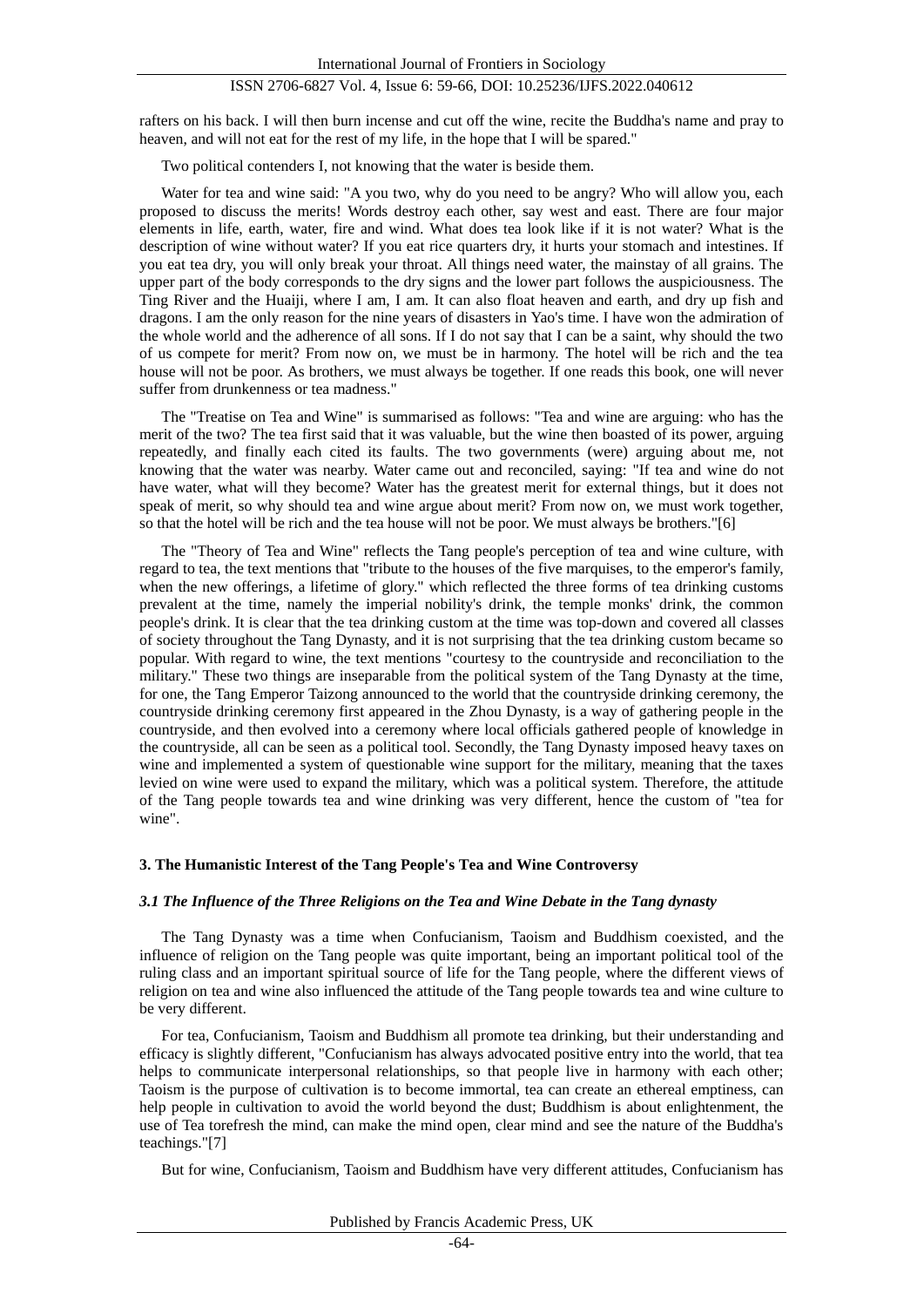rafters on his back. I will then burn incense and cut off the wine, recite the Buddha's name and pray to heaven, and will not eat for the rest of my life, in the hope that I will be spared."

Two political contenders I, not knowing that the water is beside them.

Water for tea and wine said: "A you two, why do you need to be angry? Who will allow you, each proposed to discuss the merits! Words destroy each other, say west and east. There are four major elements in life, earth, water, fire and wind. What does tea look like if it is not water? What is the description of wine without water? If you eat rice quarters dry, it hurts your stomach and intestines. If you eat tea dry, you will only break your throat. All things need water, the mainstay of all grains. The upper part of the body corresponds to the dry signs and the lower part follows the auspiciousness. The Ting River and the Huaiji, where I am, I am. It can also float heaven and earth, and dry up fish and dragons. I am the only reason for the nine years of disasters in Yao's time. I have won the admiration of the whole world and the adherence of all sons. If I do not say that I can be a saint, why should the two of us compete for merit? From now on, we must be in harmony. The hotel will be rich and the tea house will not be poor. As brothers, we must always be together. If one reads this book, one will never suffer from drunkenness or tea madness."

The "Treatise on Tea and Wine" is summarised as follows: "Tea and wine are arguing: who has the merit of the two? The tea first said that it was valuable, but the wine then boasted of its power, arguing repeatedly, and finally each cited its faults. The two governments (were) arguing about me, not knowing that the water was nearby. Water came out and reconciled, saying: "If tea and wine do not have water, what will they become? Water has the greatest merit for external things, but it does not speak of merit, so why should tea and wine argue about merit? From now on, we must work together, so that the hotel will be rich and the tea house will not be poor. We must always be brothers."[6]

The "Theory of Tea and Wine" reflects the Tang people's perception of tea and wine culture, with regard to tea, the text mentions that "tribute to the houses of the five marquises, to the emperor's family, when the new offerings, a lifetime of glory." which reflected the three forms of tea drinking customs prevalent at the time, namely the imperial nobility's drink, the temple monks' drink, the common people's drink. It is clear that the tea drinking custom at the time was top-down and covered all classes of society throughout the Tang Dynasty, and it is not surprising that the tea drinking custom became so popular. With regard to wine, the text mentions "courtesy to the countryside and reconciliation to the military." These two things are inseparable from the political system of the Tang Dynasty at the time, for one, the Tang Emperor Taizong announced to the world that the countryside drinking ceremony, the countryside drinking ceremony first appeared in the Zhou Dynasty, is a way of gathering people in the countryside, and then evolved into a ceremony where local officials gathered people of knowledge in the countryside, all can be seen as a political tool. Secondly, the Tang Dynasty imposed heavy taxes on wine and implemented a system of questionable wine support for the military, meaning that the taxes levied on wine were used to expand the military, which was a political system. Therefore, the attitude of the Tang people towards tea and wine drinking was very different, hence the custom of "tea for wine".

#### **3. The Humanistic Interest of the Tang People's Tea and Wine Controversy**

#### *3.1 The Influence of the Three Religions on the Tea and Wine Debate in the Tang dynasty*

The Tang Dynasty was a time when Confucianism, Taoism and Buddhism coexisted, and the influence of religion on the Tang people was quite important, being an important political tool of the ruling class and an important spiritual source of life for the Tang people, where the different views of religion on tea and wine also influenced the attitude of the Tang people towards tea and wine culture to be very different.

For tea, Confucianism, Taoism and Buddhism all promote tea drinking, but their understanding and efficacy is slightly different, "Confucianism has always advocated positive entry into the world, that tea helps to communicate interpersonal relationships, so that people live in harmony with each other; Taoism is the purpose of cultivation is to become immortal, tea can create an ethereal emptiness, can help people in cultivation to avoid the world beyond the dust; Buddhism is about enlightenment, the use of Tea torefresh the mind, can make the mind open, clear mind and see the nature of the Buddha's teachings."[7]

But for wine, Confucianism, Taoism and Buddhism have very different attitudes, Confucianism has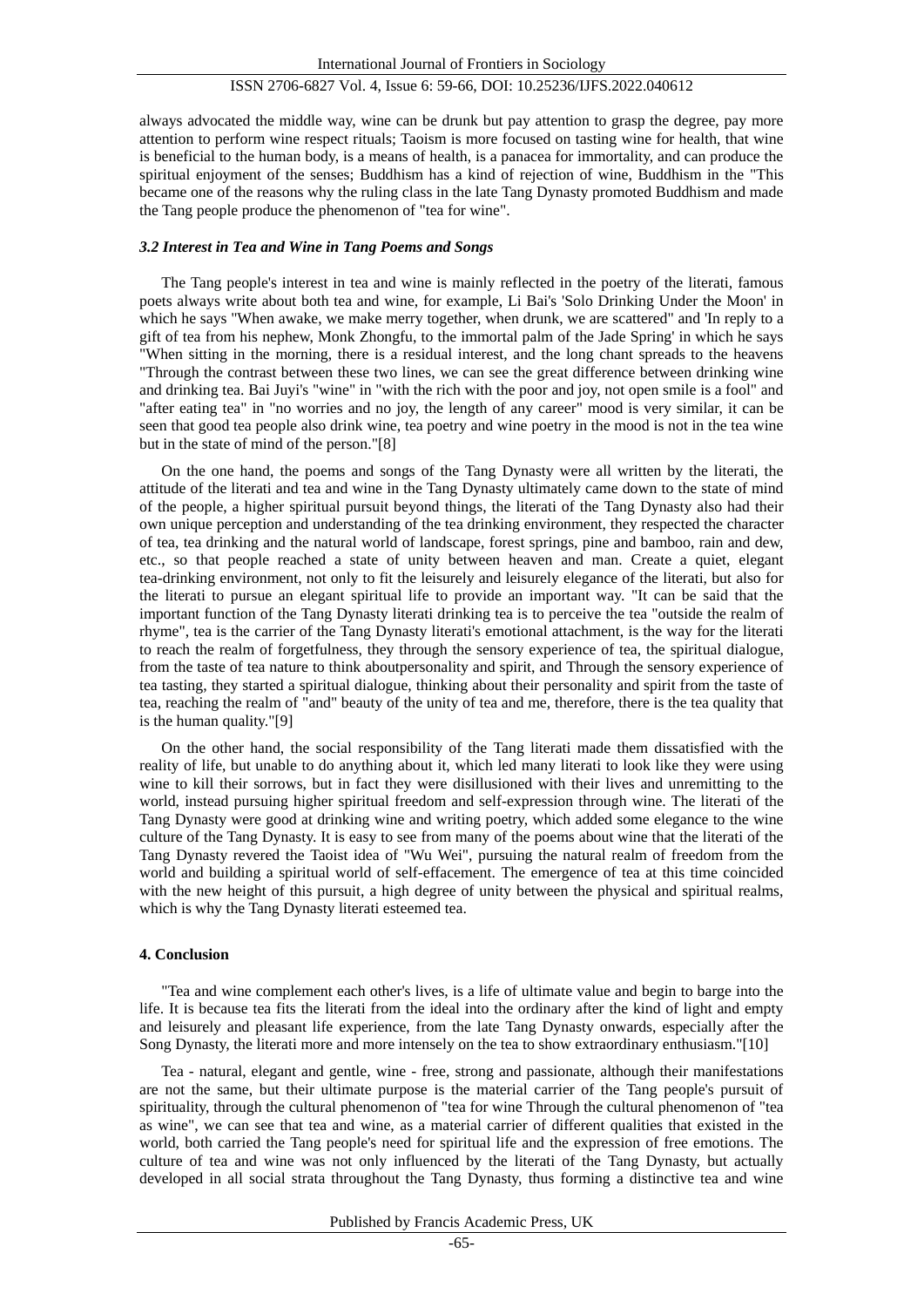always advocated the middle way, wine can be drunk but pay attention to grasp the degree, pay more attention to perform wine respect rituals; Taoism is more focused on tasting wine for health, that wine is beneficial to the human body, is a means of health, is a panacea for immortality, and can produce the spiritual enjoyment of the senses; Buddhism has a kind of rejection of wine, Buddhism in the "This became one of the reasons why the ruling class in the late Tang Dynasty promoted Buddhism and made the Tang people produce the phenomenon of "tea for wine".

## *3.2 Interest in Tea and Wine in Tang Poems and Songs*

The Tang people's interest in tea and wine is mainly reflected in the poetry of the literati, famous poets always write about both tea and wine, for example, Li Bai's 'Solo Drinking Under the Moon' in which he says "When awake, we make merry together, when drunk, we are scattered" and 'In reply to a gift of tea from his nephew, Monk Zhongfu, to the immortal palm of the Jade Spring' in which he says "When sitting in the morning, there is a residual interest, and the long chant spreads to the heavens "Through the contrast between these two lines, we can see the great difference between drinking wine and drinking tea. Bai Juyi's "wine" in "with the rich with the poor and joy, not open smile is a fool" and "after eating tea" in "no worries and no joy, the length of any career" mood is very similar, it can be seen that good tea people also drink wine, tea poetry and wine poetry in the mood is not in the tea wine but in the state of mind of the person."[8]

On the one hand, the poems and songs of the Tang Dynasty were all written by the literati, the attitude of the literati and tea and wine in the Tang Dynasty ultimately came down to the state of mind of the people, a higher spiritual pursuit beyond things, the literati of the Tang Dynasty also had their own unique perception and understanding of the tea drinking environment, they respected the character of tea, tea drinking and the natural world of landscape, forest springs, pine and bamboo, rain and dew, etc., so that people reached a state of unity between heaven and man. Create a quiet, elegant tea-drinking environment, not only to fit the leisurely and leisurely elegance of the literati, but also for the literati to pursue an elegant spiritual life to provide an important way. "It can be said that the important function of the Tang Dynasty literati drinking tea is to perceive the tea "outside the realm of rhyme", tea is the carrier of the Tang Dynasty literati's emotional attachment, is the way for the literati to reach the realm of forgetfulness, they through the sensory experience of tea, the spiritual dialogue, from the taste of tea nature to think aboutpersonality and spirit, and Through the sensory experience of tea tasting, they started a spiritual dialogue, thinking about their personality and spirit from the taste of tea, reaching the realm of "and" beauty of the unity of tea and me, therefore, there is the tea quality that is the human quality."[9]

On the other hand, the social responsibility of the Tang literati made them dissatisfied with the reality of life, but unable to do anything about it, which led many literati to look like they were using wine to kill their sorrows, but in fact they were disillusioned with their lives and unremitting to the world, instead pursuing higher spiritual freedom and self-expression through wine. The literati of the Tang Dynasty were good at drinking wine and writing poetry, which added some elegance to the wine culture of the Tang Dynasty. It is easy to see from many of the poems about wine that the literati of the Tang Dynasty revered the Taoist idea of "Wu Wei", pursuing the natural realm of freedom from the world and building a spiritual world of self-effacement. The emergence of tea at this time coincided with the new height of this pursuit, a high degree of unity between the physical and spiritual realms, which is why the Tang Dynasty literati esteemed tea.

## **4. Conclusion**

"Tea and wine complement each other's lives, is a life of ultimate value and begin to barge into the life. It is because tea fits the literati from the ideal into the ordinary after the kind of light and empty and leisurely and pleasant life experience, from the late Tang Dynasty onwards, especially after the Song Dynasty, the literati more and more intensely on the tea to show extraordinary enthusiasm."[10]

Tea - natural, elegant and gentle, wine - free, strong and passionate, although their manifestations are not the same, but their ultimate purpose is the material carrier of the Tang people's pursuit of spirituality, through the cultural phenomenon of "tea for wine Through the cultural phenomenon of "tea as wine", we can see that tea and wine, as a material carrier of different qualities that existed in the world, both carried the Tang people's need for spiritual life and the expression of free emotions. The culture of tea and wine was not only influenced by the literati of the Tang Dynasty, but actually developed in all social strata throughout the Tang Dynasty, thus forming a distinctive tea and wine